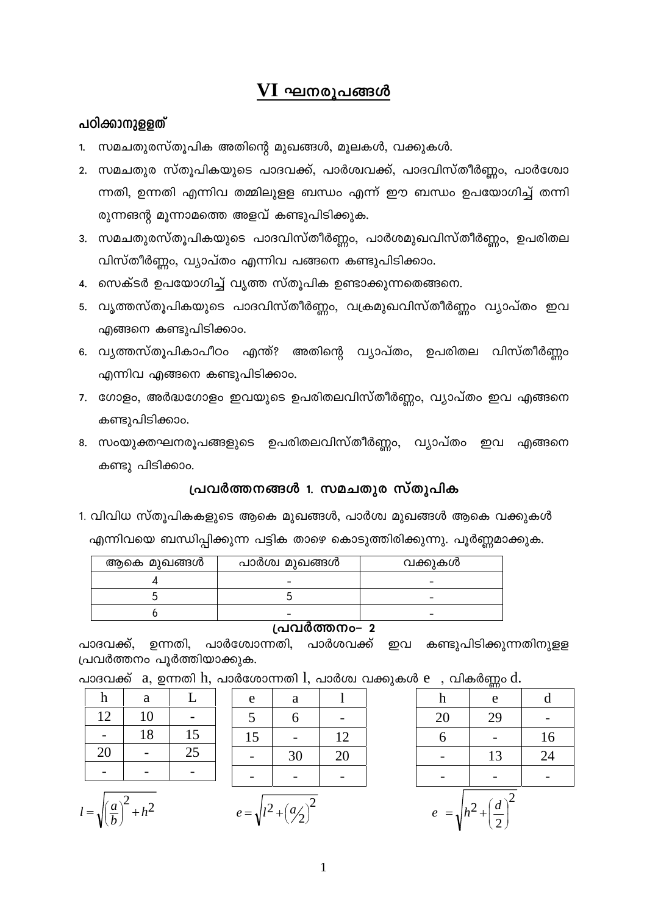# $\mathbf{VI}$  ഘനരൂപങ്ങൾ

#### പഠിക്കാനുള്ളത്

- 1. സമചതുരസ്തൂപിക അതിന്റെ മുഖങ്ങൾ, മൂലകൾ, വക്കുകൾ.
- 2. സമചതുര സ്തൂപികയുടെ പാദവക്ക്, പാർശ്വവക്ക്, പാദവിസ്തീർണ്ണം, പാർശ്വോ ന്നതി, ഉന്നതി എന്നിവ തമ്മിലുളള ബന്ധം എന്ന് ഈ ബന്ധം ഉപയോഗിച്ച് തന്നി രുന്നങന്റ മൂന്നാമത്തെ അളവ് കണ്ടുപിടിക്കുക.
- 3. സമചതുരസ്തൂപികയുടെ പാദവിസ്തീർണ്ണം, പാർശമുഖവിസ്തീർണ്ണം, ഉപരിതല വിസ്തീർണ്ണം, വ്യാപ്തം എന്നിവ പങ്ങനെ കണ്ടുപിടിക്കാം.
- 4. സെക്ടർ ഉപയോഗിച്ച് വൃത്ത സ്തൂപിക ഉണ്ടാക്കുന്നതെങ്ങനെ.
- 5. വൃത്തസ്തൂപികയുടെ പാദവിസ്തീർണ്ണം, വക്രമുഖവിസ്തീർണ്ണം വ്യാപ്തം ഇവ എങ്ങനെ കണ്ടുപിടിക്കാം.
- 6. വൃത്തസ്തൂപികാപീഠം എന്ത്? അതിന്റെ വ്യാപ്തം, ഉപരിതല വിസ്തീർണ്ണം എന്നിവ എങ്ങനെ കണ്ടുപിടിക്കാം.
- 7. ഗോളം, അർദ്ധഗോളം ഇവയുടെ ഉപരിതലവിസ്തീർണ്ണം, വ്യാപ്തം ഇവ എങ്ങനെ കണ്ടുപിടിക്കാം.
- 8. സംയുക്തഘനരൂപങ്ങളുടെ ഉപരിതലവിസ്തീർണ്ണം, വ്യാപ്തം ഇവ എങ്ങനെ കണ്ടു പിടിക്കാം.

#### പ്രവർത്തനങ്ങൾ 1. സമചതുര സ്തൂപിക

1. വിവിധ സ്തൂപികകളുടെ ആകെ മുഖങ്ങൾ, പാർശ്വ മുഖങ്ങൾ ആകെ വക്കുകൾ എന്നിവയെ ബന്ധിപ്പിക്കുന്ന പട്ടിക താഴെ കൊടുത്തിരിക്കുന്നു. പൂർണ്ണമാക്കുക.

| $\rightarrow$ |                |         |  |  |
|---------------|----------------|---------|--|--|
|               |                |         |  |  |
|               |                |         |  |  |
|               |                |         |  |  |
| ആകെ മുഖങ്ങൾ   | പാർശ്വ മുഖങ്ങൾ | വക്കുകൾ |  |  |

#### പ്രവർത്തനം– 2

പാദവക്ക്, ഉന്നതി, പാർശ്വോന്നതി, പാർശവക്ക് ഇവ കണ്ടുപിടിക്കുന്നതിനുള്ള പ്രവർത്തനം പൂർത്തിയാക്കുക.

 $0.008$ പാദവക്ക്  $a,$  ഉന്നതി  $h,$  പാർശോന്നതി  $l,$  പാർശ്വ വക്കുകൾ  $e,$ 

| h  | a  |    |  |
|----|----|----|--|
| 12 | 10 |    |  |
|    | 18 | 15 |  |
| 20 |    | 25 |  |
|    |    |    |  |



| e                                          | a  |    |  |  |
|--------------------------------------------|----|----|--|--|
| 5                                          | 6  |    |  |  |
| 15                                         |    | 12 |  |  |
|                                            | 30 | 20 |  |  |
|                                            |    |    |  |  |
| $\overline{2}$<br>$e = \sqrt{l^2 + (a/2)}$ |    |    |  |  |

| 0 C<br>്വത്യാണ്ഡ് ന                                                  |    |    |  |  |
|----------------------------------------------------------------------|----|----|--|--|
| h                                                                    | e  | d  |  |  |
| 20                                                                   | 29 |    |  |  |
| 6                                                                    |    | 16 |  |  |
|                                                                      | 13 | 24 |  |  |
|                                                                      |    |    |  |  |
| $\overline{2}$<br>$=\sqrt{h^2+\left(\frac{d}{2}\right)^2}$<br>$\ell$ |    |    |  |  |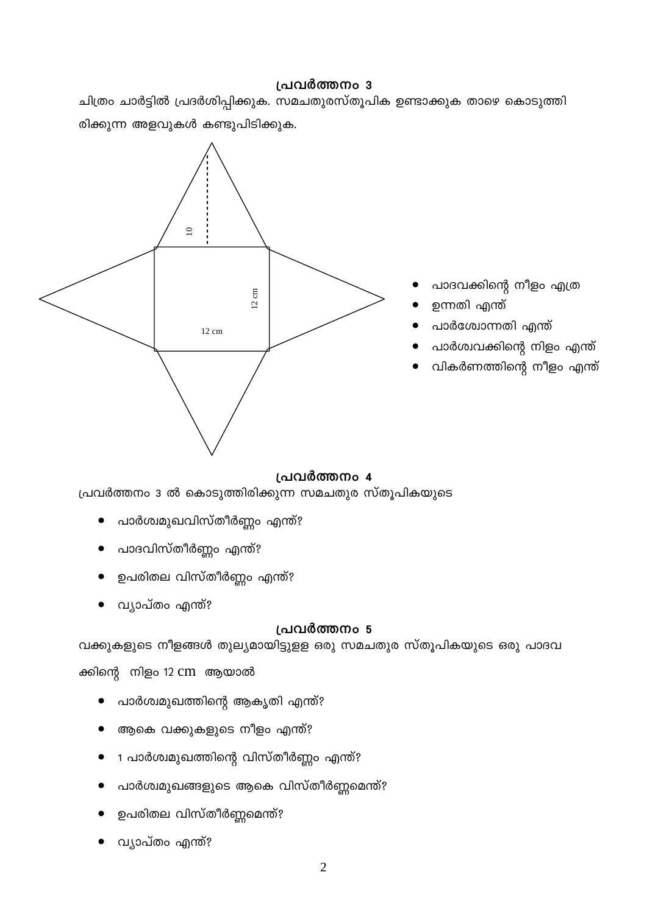## പ്രവർത്തനം 3

ചിത്രം ചാർട്ടിൽ പ്രദർശിപ്പിക്കുക. സമചതുരസ്തൂപിക ഉണ്ടാക്കുക താഴെ കൊടുത്തി രിക്കുന്ന അളവുകൾ കണ്ടുപിടിക്കുക.



- പാദവക്കിന്റെ നീളം എത്ര
- ഉന്നതി എന്ത്
- പാർശ്വോന്നതി എന്ത്
- പാർശ്വവക്കിന്റെ നിളം എന്ത്
- വികർണത്തിന്റെ നീളം എന്ത്

## പ്രവർത്തനം 4

പ്രവർത്തനം 3 ൽ കൊടുത്തിരിക്കുന്ന സമചതുര സ്തൂപികയുടെ

- പാർശ്വമുഖവിസ്തീർണ്ണം എന്ത്?
- പാദവിസ്തീർണ്ണം എന്ത്?
- ഉപരിതല വിസ്തീർണ്ണം എന്ത്?
- വ്യാപ്തം എന്ത്?

## പ്രവർത്തനം 5

വക്കുകളുടെ നീളങ്ങൾ തുല്യമായിട്ടുളള ഒരു സമചതുര സ്തൂപികയുടെ ഒരു പാദവ

ക്കിന്റെ നിളം 12 cm ആയാൽ

- പാർശ്വമുഖത്തിന്റെ ആകൃതി എന്ത്?
- ആകെ വക്കുകളുടെ നീളം എന്ത്?
- 1 പാർശ്വമുഖത്തിന്റെ വിസ്തീർണ്ണം എന്ത്?
- പാർശ്വമുഖങ്ങളുടെ ആകെ വിസ്തീർണ്ണമെന്ത്?
- ഉപരിതല വിസ്തീർണ്ണമെന്ത്?
- വ്യാപ്തം എന്ത്?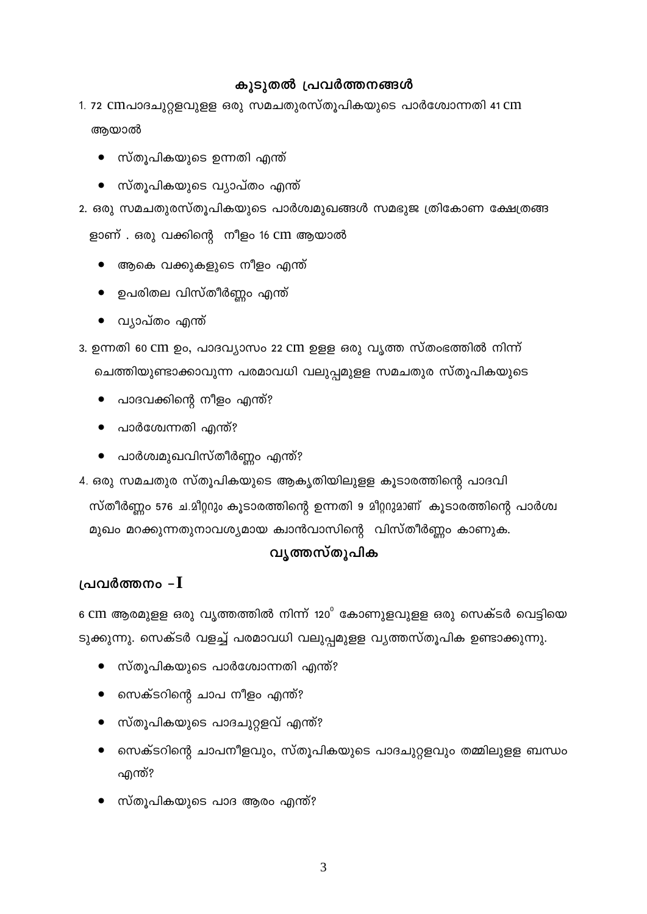### കൂടുതൽ പ്രവർത്തനങ്ങൾ

# 1. 72 cmപാദചുറ്റളവുളള ഒരു സമചതുരസ്തൂപികയുടെ പാർശ്വോന്നതി 41 cm ആയാൽ

- സ്തൂപികയുടെ ഉന്നതി എന്ത്
- സ്തുപികയുടെ വ്യാപ്തം എന്ത്
- 2. ഒരു സമചതുരസ്തൂപികയുടെ പാർശ്വമുഖങ്ങൾ സമഭുജ ത്രികോണ ക്ഷേത്രങ്ങ ളാണ് . ഒരു വക്കിന്റെ നീളം 16 cm ആയാൽ
	- ആകെ വക്കുകളുടെ നീളം എന്ത്
	- $\bullet$  ഉപരിതല വിസ്തീർണ്ണം എന്ത്
	- വ്യാപ്തം എന്ത്
- 3. ഉന്നതി 60 CM ഉം, പാദവ്യാസം 22 CM ഉള്ള ഒരു വൃത്ത സ്തംഭത്തിൽ നിന്ന് ചെത്തിയുണ്ടാക്കാവുന്ന പരമാവധി വലുപ്പമുളള സമചതുര സ്തൂപികയുടെ
	- പാദവക്കിന്റെ നീളം എന്ത്?
	- പാർശ്വേന്നതി എന്ത്?
	- പാർശ്വമുഖവിസ്തീർണ്ണം എന്ത്?

4. ഒരു സമചതുര സ്തൂപികയുടെ ആകൃതിയിലുളള കൂടാരത്തിന്റെ പാദവി സ്തീർണ്ണം 576 ച.മീറ്ററും കൂടാരത്തിന്റെ ഉന്നതി 9 മീറ്ററുമാണ് കൂടാരത്തിന്റെ പാർശ്വ മുഖം മറക്കുന്നതുനാവശ്യമായ ക്വാൻവാസിന്റെ വിസ്തീർണ്ണം കാണുക.

### വൃത്തസ്തൂപിക

## പ്രവർത്തനം – $\mathbf I$

 $6 \text{ cm}$  ആരമുളള ഒരു വൃത്തത്തിൽ നിന്ന് 120 $^{\circ}$  കോണുളവുളള ഒരു സെക്ടർ വെട്ടിയെ ടുക്കുന്നു. സെക്ടർ വളച്ച് പരമാവധി വലുപ്പമുളള വ്യത്തസ്തൂപിക ഉണ്ടാക്കുന്നു.

- സ്തൂപികയുടെ പാർശ്വോന്നതി എന്ത്?  $\bullet$
- സെക്ടറിന്റെ ചാപ നീളം എന്ത്?
- സ്തൂപികയുടെ പാദചുറ്റളവ് എന്ത്?
- സെക്ടറിന്റെ ചാപനീളവും, സ്തൂപികയുടെ പാദചുറ്റളവും തമ്മിലുളള ബന്ധം എന്ത്?
- സ്തൂപികയുടെ പാദ ആരം എന്ത്?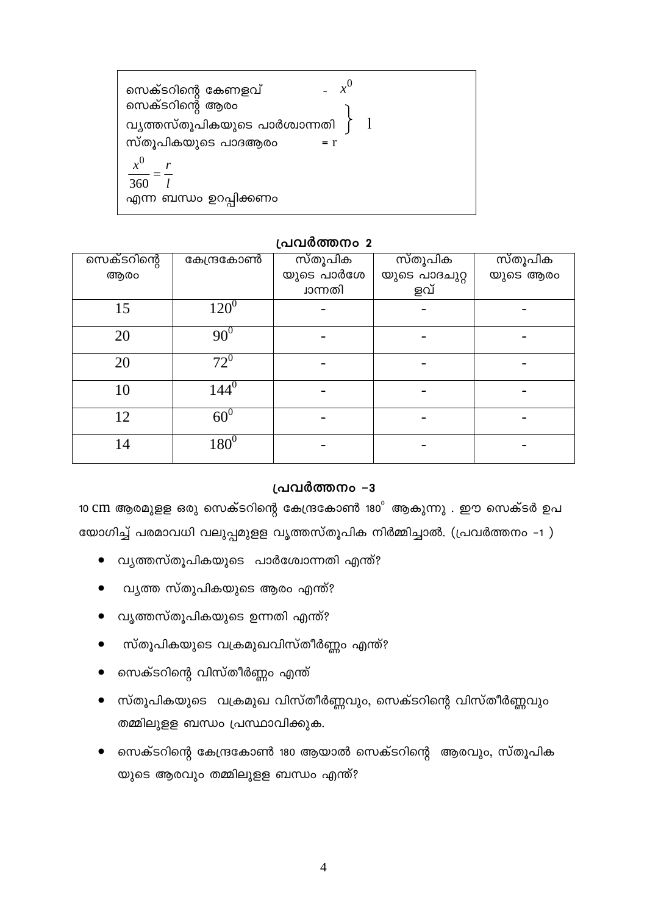$x^0$ സെക്ടറിന്റെ കേണളവ് സെക്ടറിന്റെ ആരം വൃത്തസ്തൂപികയുടെ പാർശ്വാന്നതി  $\mathbf{1}$ സ്തൂപികയുടെ പാദആരം  $= r$  $x^0$ 360 എന്ന ബന്ധം ഉറപ്പിക്കണം

#### പ്രവർത്തനം 2

| സെക്ടറിന്റെ | കേന്ദ്രകോൺ | സ്തൂപിക    | സ്തൂപിക       | സ്തൂപിക  |
|-------------|------------|------------|---------------|----------|
| ആരം         |            | യുടെ പാർശേ | യുടെ പാദചുറ്റ | യുടെ ആരം |
|             |            | ്വാന്നതി   | ളവ്           |          |
| 15          | $120^{0}$  |            |               |          |
| 20          | $90^{0}$   |            |               |          |
| 20          | $72^{0}$   |            |               |          |
| 10          | $144^0$    |            |               |          |
| 12          | $60^0$     |            |               |          |
| 14          | $180^{0}$  |            |               |          |

#### പ്രവർത്തനം -3

10 CM ആരമുളള ഒരു സെക്ടറിന്റെ കേന്ദ്രകോൺ 180 $^{\circ}$  ആകുന്നു . ഈ സെക്ടർ ഉപ യോഗിച്ച് പരമാവധി വലുപ്പമുളള വൃത്തസ്തൂപിക നിർമ്മിച്ചാൽ. (പ്രവർത്തനം -1 )

- വ്യത്തസ്തൂപികയുടെ പാർശ്വോന്നതി എന്ത്?  $\bullet$
- വ്യത്ത സ്തുപികയുടെ ആരം എന്ത്?
- വൃത്തസ്തുപികയുടെ ഉന്നതി എന്ത്?
- സ്തൂപികയുടെ വക്രമുഖവിസ്തീർണ്ണം എന്ത്?
- സെക്ടറിന്റെ വിസ്തീർണ്ണം എന്ത്
- സ്തൂപികയുടെ വക്രമുഖ വിസ്തീർണ്ണവും, സെക്ടറിന്റെ വിസ്തീർണ്ണവും തമ്മിലുളള ബന്ധം പ്രസ്ഥാവിക്കുക.
- സെക്ടറിന്റെ കേന്ദ്രകോൺ 180 ആയാൽ സെക്ടറിന്റെ ആരവും, സ്തൂപിക യുടെ ആരവും തമ്മിലുളള ബന്ധം എന്ത്?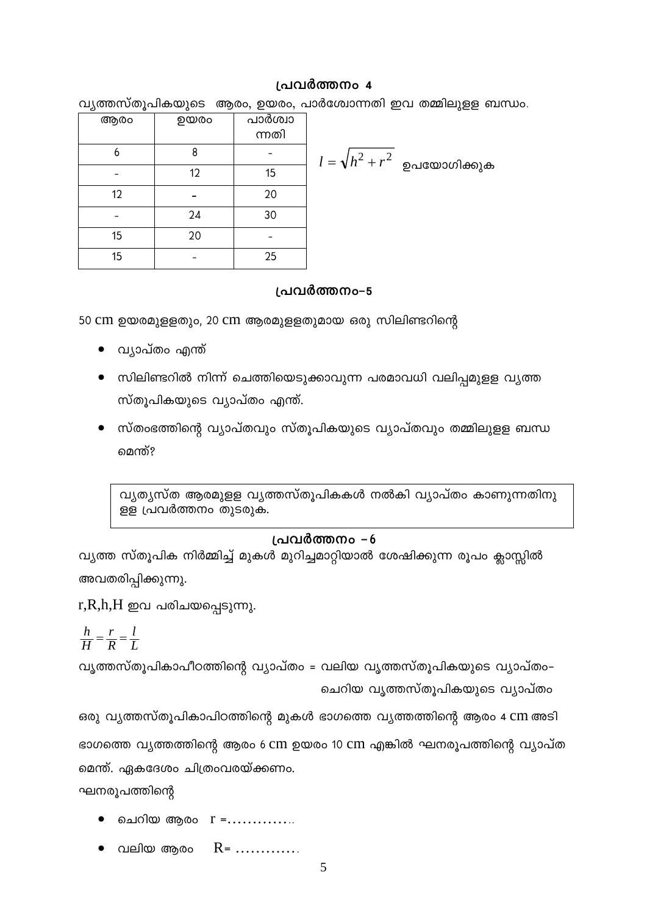#### പ്രവർത്തനം 4

വ്യത്തസ്തൂപികയുടെ ആരം, ഉയരം, പാർശ്വോന്നതി ഇവ തമ്മിലുള്ള ബന്ധം.

|                                | പാർശ്വാ<br>ന്നതി | ഉയരം | ആരം |
|--------------------------------|------------------|------|-----|
| $l=\sqrt{h^2+r^2}$ ഉപയോഗിക്കുക |                  | 8    | 6   |
|                                | 15               | 12   |     |
|                                | 20               |      | 12  |
|                                | 30               | 24   |     |
|                                |                  | 20   | 15  |
|                                | 25               |      | 15  |

#### പ്രവർത്തനം-5

50 cm ഉയരമുളളതും, 20 cm ആരമുളളതുമായ ഒരു സിലിണ്ടറിന്റെ

- വ്യാപ്തം എന്ത്
- സിലിണ്ടറിൽ നിന്ന് ചെത്തിയെടുക്കാവുന്ന പരമാവധി വലിപ്പമുളള വൃത്ത സ്തൂപികയുടെ വ്യാപ്തം എന്ത്.
- സ്തംഭത്തിന്റെ വ്യാപ്തവും സ്തൂപികയുടെ വ്യാപ്തവും തമ്മിലുളള ബന്ധ മെന്ത്?

വ്യത്യസ്ത ആരമുളള വ്യത്തസ്തൂപികകൾ നൽകി വ്യാപ്തം കാണുന്നതിനു ള്ള പ്രവർത്തനം തുടരുക.

### പ്രവർത്തനം -6

വ്യത്ത സ്തൂപിക നിർമ്മിച്ച് മുകൾ മുറിച്ചമാറ്റിയാൽ ശേഷിക്കുന്ന രൂപം ക്ലാസ്സിൽ അവതരിപ്പിക്കുന്നു.

 $r, R, h, H$  ഇവ പരിചയപ്പെടുന്നു.

$$
\frac{h}{H} = \frac{r}{R} = \frac{l}{L}
$$

വൃത്തസ്തൂപികാപീഠത്തിന്റെ വ്യാപ്തം = വലിയ വൃത്തസ്തൂപികയുടെ വ്യാപ്തം-ചെറിയ വൃത്തസ്തൂപികയുടെ വ്യാപ്തം

ഒരു വ്യത്തസ്തൂപികാപിഠത്തിന്റെ മുകൾ ഭാഗത്തെ വ്യത്തത്തിന്റെ ആരം 4 CM അടി ഭാഗത്തെ വ്യത്തത്തിന്റെ ആരം 6 Cm ഉയരം 10 Cm എങ്കിൽ ഘനരൂപത്തിന്റെ വ്യാപ്ത മെന്ത്. ഏകദേശം ചിത്രംവരയ്ക്കണം.

ഘനരൂപത്തിന്റെ

- ചെറിയ ആരം r =..............
- $R =$  ............. വലിയ ആരം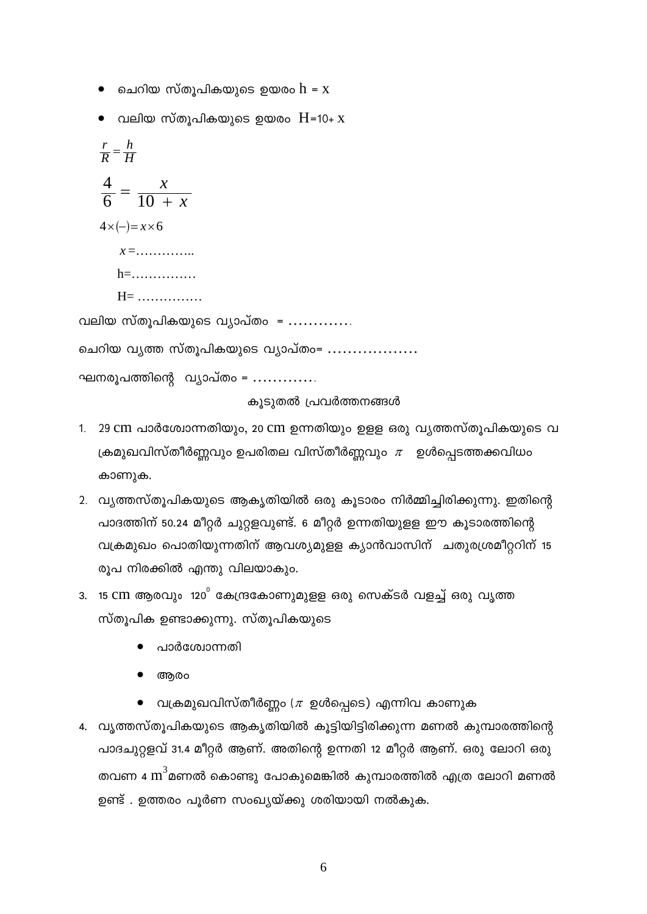- ചെറിയ സ്തുപികയുടെ ഉയരം  ${\rm h}$  =  ${\rm x}$
- $\bullet$  വലിയ സ്തുപികയുടെ ഉയരം  $H=10+ x$

 $rac{r}{R} = \frac{h}{H}$  $rac{4}{6} = \frac{x}{10 + x}$  $4 \times (-)= x \times 6$  $x = \ldots \ldots \ldots$  $h =$ ...............  $H =$  ............... വലിയ സ്തൂപികയുടെ വ്യാപ്തം = ............. ചെറിയ വൃത്ത സ്തൂപികയുടെ വ്യാപ്തം= ................. ഘനരൂപത്തിന്റെ വ്യാപ്തം = .............

കുടുതൽ പ്രവർത്തനങ്ങൾ

- 1. 29 cm പാർശ്വോന്നതിയും, 20 cm ഉന്നതിയും ഉളള ഒരു വ്യത്തസ്തൂപികയുടെ വ ക്രമുഖവിസ്തീർണ്ണവും ഉപരിതല വിസ്തീർണ്ണവും  $\pi$  ഉൾപ്പെടത്തക്കവിധം കാണുക.
- 2. വ്യത്തസ്തൂപികയുടെ ആകൃതിയിൽ ഒരു കൂടാരം നിർമ്മിച്ചിരിക്കുന്നു. ഇതിന്റെ പാദത്തിന് 50.24 മീറ്റർ ചുറ്റളവുണ്ട്. 6 മീറ്റർ ഉന്നതിയുളള ഈ കൂടാരത്തിന്റെ വക്രമുഖം പൊതിയുന്നതിന് ആവശ്യമുളള ക്യാൻവാസിന് ചതുരശ്രമീറ്ററിന് 15 രൂപ നിരക്കിൽ എന്തു വിലയാകും.
- 3. 15 CM ആരവും 120 $^{\circ}$  കേന്ദ്രകോണുമുളള ഒരു സെക്ടർ വളച്ച് ഒരു വൃത്ത സ്തൂപിക ഉണ്ടാക്കുന്നു. സ്തൂപികയുടെ
	- പാർശ്വോന്നതി
	- അരം
	- $\bullet$  വക്രമുഖവിസ്തീർണ്ണം ( $\pi$  ഉൾപ്പെടെ) എന്നിവ കാണുക
- 4. വ്യത്തസ്തുപികയുടെ ആകൃതിയിൽ കൂട്ടിയിട്ടിരിക്കുന്ന മണൽ കുമ്പാരത്തിന്റെ പാദചുറ്റളവ് 31.4 മീറ്റർ ആണ്. അതിന്റെ ഉന്നതി 12 മീറ്റർ ആണ്. ഒരു ലോറി ഒരു തവണ 4  $\text{m}^3$ മണൽ കൊണ്ടു പോകുമെങ്കിൽ കുമ്പാരത്തിൽ എത്ര ലോറി മണൽ ഉണ്ട് . ഉത്തരം പൂർണ സംഖ്യയ്ക്കു ശരിയായി നൽകുക.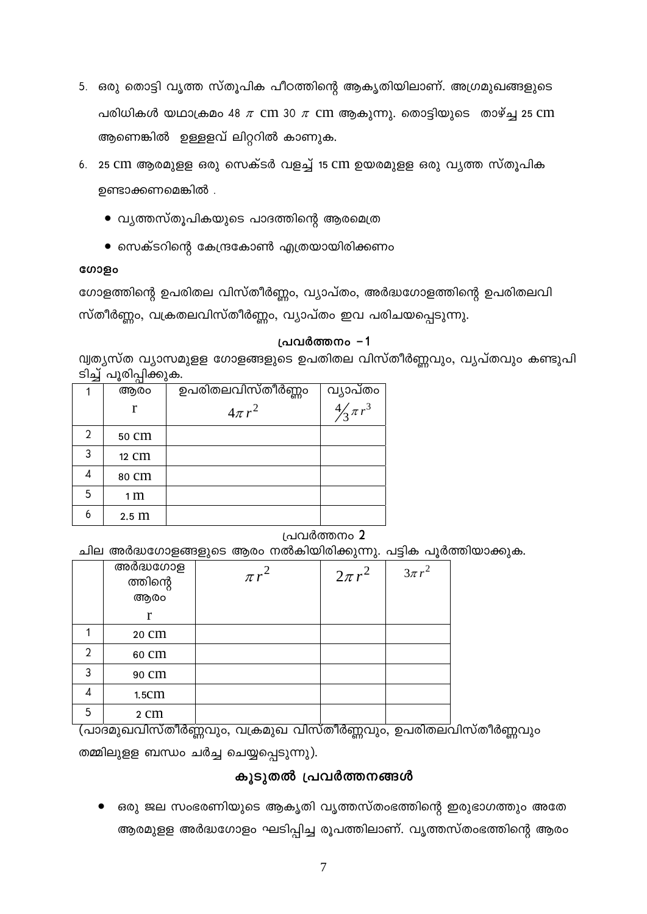- 5. ഒരു തൊട്ടി വൃത്ത സ്തൂപിക പീഠത്തിന്റെ ആകൃതിയിലാണ്. അഗ്രമുഖങ്ങളുടെ പരിധികൾ യഥാക്രമം 48  $\pi$  cm 30  $\pi$  cm ആകുന്നു. തൊട്ടിയുടെ താഴ്ച്ച 25 cm ആണെങ്കിൽ ഉള്ളളവ് ലിറ്ററിൽ കാണുക.
- 6. 25 CM ആരമുളള ഒരു സെക്ടർ വളച്ച് 15 CM ഉയരമുളള ഒരു വൃത്ത സ്തൂപിക ഉണ്ടാക്കണമെങ്കിൽ .
	- വൃത്തസ്തൂപികയുടെ പാദത്തിന്റെ ആരമെത്ര
	- $\bullet$  സെക്ടറിന്റെ കേന്ദ്രകോൺ എത്രയായിരിക്കണം

#### ഗോളം

ഗോളത്തിന്റെ ഉപരിതല വിസ്തീർണ്ണം, വ്യാപ്തം, അർദ്ധഗോളത്തിന്റെ ഉപരിതലവി സ്തീർണ്ണം, വക്രതലവിസ്തീർണ്ണം, വ്യാപ്തം ഇവ പരിചയപ്പെടുന്നു.

#### പ്രവർത്തനം -1

വ്വത്യസ്ത വ്യാസമുളള ഗോളങ്ങളുടെ ഉപതിതല വിസ്തീർണ്ണവും, വ്യപ്തവും കണ്ടുപി ടിച്ച വരിപിക്കുക.

| ◢ | ಀ<br>പ<br>ັບ     |                   |                                  |
|---|------------------|-------------------|----------------------------------|
|   | ആരം              | ഉപരിതലവിസ്തീർണ്ണം |                                  |
|   | r                | $4\pi r^2$        | വ്യാപ്തം<br>$\frac{4}{3}\pi r^3$ |
| 2 | 50 CM            |                   |                                  |
| 3 | 12 CM            |                   |                                  |
|   | 80 CM            |                   |                                  |
| 5 | 1 <sub>m</sub>   |                   |                                  |
| 6 | 2.5 <sub>m</sub> |                   |                                  |

## പ്രവർത്തനം 2

ചില അർദ്ധഗോളങ്ങളുടെ ആരം നൽകിയിരിക്കുന്നു. പട്ടിക പൂർത്തിയാക്കുക.

|   | അർദ്ധഗോള<br>ത്തിന്റെ | $\pi r$ | $2\pi r^2$ | $3\pi r^2$ |
|---|----------------------|---------|------------|------------|
|   | ആരം                  |         |            |            |
|   | r                    |         |            |            |
|   | 20 Cm                |         |            |            |
| 2 | 60 Cm                |         |            |            |
| 3 | 90 CM                |         |            |            |
| 4 | 1.5 <sub>cm</sub>    |         |            |            |
| 5 | 2 cm                 |         |            |            |

.<br><mark>(പാദമുഖവിസ്തീർണ്ണവും, വക്രമുഖ വിസ്തീർണ്ണവും, ഉപരിതലവി</mark>സ്തീർണ്ണവും തമ്മിലുളള ബന്ധം ചർച്ച ചെയ്യപ്പെടുന്നു).

## കുടുതൽ പ്രവർത്തനങ്ങൾ

ഒരു ജല സംഭരണിയുടെ ആകൃതി വൃത്തസ്തംഭത്തിന്റെ ഇരുഭാഗത്തും അതേ ആരമുളള അർദ്ധഗോളം ഘടിപ്പിച്ച രൂപത്തിലാണ്. വൃത്തസ്തംഭത്തിന്റെ ആരം